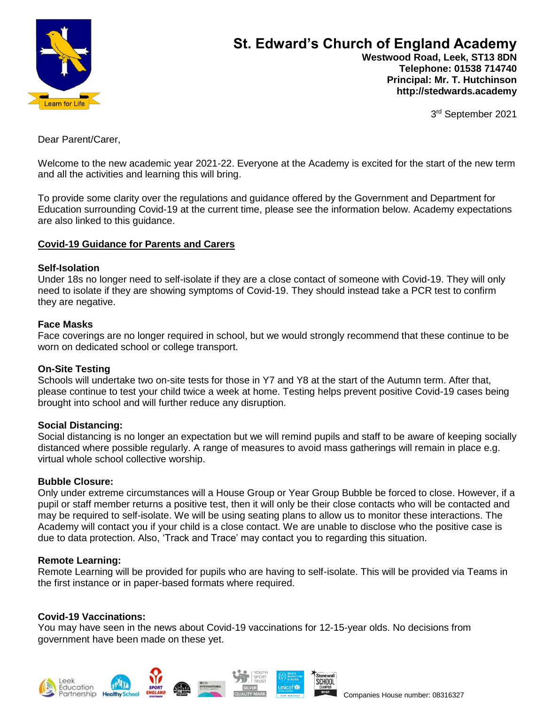

 **Telephone: 01538 714740 Principal: Mr. T. Hutchinson http://stedwards.academy**

3<sup>rd</sup> September 2021

Dear Parent/Carer,

Welcome to the new academic year 2021-22. Everyone at the Academy is excited for the start of the new term and all the activities and learning this will bring.

To provide some clarity over the regulations and guidance offered by the Government and Department for Education surrounding Covid-19 at the current time, please see the information below. Academy expectations are also linked to this guidance.

# **Covid-19 Guidance for Parents and Carers**

### **Self-Isolation**

Under 18s no longer need to self-isolate if they are a close contact of someone with Covid-19. They will only need to isolate if they are showing symptoms of Covid-19. They should instead take a PCR test to confirm they are negative.

#### **Face Masks**

Face coverings are no longer required in school, but we would strongly recommend that these continue to be worn on dedicated school or college transport.

### **On-Site Testing**

Schools will undertake two on-site tests for those in Y7 and Y8 at the start of the Autumn term. After that, please continue to test your child twice a week at home. Testing helps prevent positive Covid-19 cases being brought into school and will further reduce any disruption.

### **Social Distancing:**

Social distancing is no longer an expectation but we will remind pupils and staff to be aware of keeping socially distanced where possible regularly. A range of measures to avoid mass gatherings will remain in place e.g. virtual whole school collective worship.

### **Bubble Closure:**

Only under extreme circumstances will a House Group or Year Group Bubble be forced to close. However, if a pupil or staff member returns a positive test, then it will only be their close contacts who will be contacted and may be required to self-isolate. We will be using seating plans to allow us to monitor these interactions. The Academy will contact you if your child is a close contact. We are unable to disclose who the positive case is due to data protection. Also, 'Track and Trace' may contact you to regarding this situation.

### **Remote Learning:**

Remote Learning will be provided for pupils who are having to self-isolate. This will be provided via Teams in the first instance or in paper-based formats where required.

## **Covid-19 Vaccinations:**

You may have seen in the news about Covid-19 vaccinations for 12-15-year olds. No decisions from government have been made on these yet.